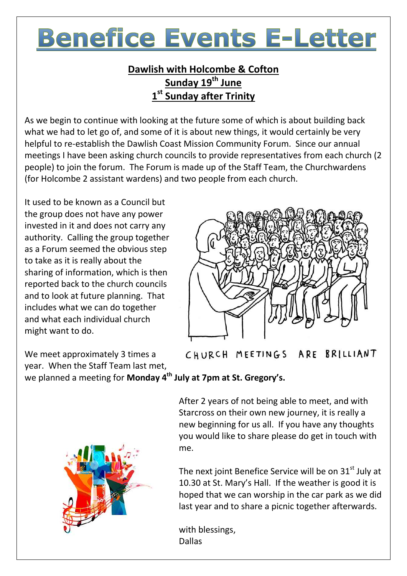# **Benefice Events E-Letter**

#### **Dawlish with Holcombe & Cofton Sunday 19 th June 1 st Sunday after Trinity**

As we begin to continue with looking at the future some of which is about building back what we had to let go of, and some of it is about new things, it would certainly be very helpful to re-establish the Dawlish Coast Mission Community Forum. Since our annual meetings I have been asking church councils to provide representatives from each church (2 people) to join the forum. The Forum is made up of the Staff Team, the Churchwardens (for Holcombe 2 assistant wardens) and two people from each church.

It used to be known as a Council but the group does not have any power invested in it and does not carry any authority. Calling the group together as a Forum seemed the obvious step to take as it is really about the sharing of information, which is then reported back to the church councils and to look at future planning. That includes what we can do together and what each individual church might want to do.

We meet approximately 3 times a year. When the Staff Team last met,

CHURCH MEETINGS ARE BRILLIANT

we planned a meeting for **Monday 4th July at 7pm at St. Gregory's.**



After 2 years of not being able to meet, and with Starcross on their own new journey, it is really a new beginning for us all. If you have any thoughts you would like to share please do get in touch with me.

The next joint Benefice Service will be on  $31<sup>st</sup>$  July at 10.30 at St. Mary's Hall. If the weather is good it is hoped that we can worship in the car park as we did last year and to share a picnic together afterwards.

with blessings, Dallas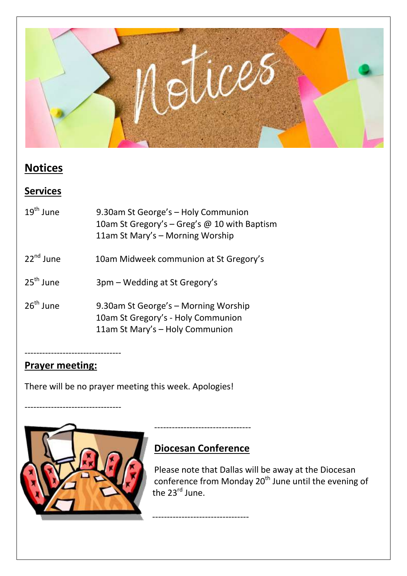

### **Notices**

#### **Services**

| $19^{\text{th}}$ lune | 9.30am St George's - Holy Communion<br>10am St Gregory's – Greg's @ 10 with Baptism<br>11am St Mary's - Morning Worship |
|-----------------------|-------------------------------------------------------------------------------------------------------------------------|
| $22^{nd}$ June        | 10am Midweek communion at St Gregory's                                                                                  |
| 25 <sup>th</sup> June | 3pm - Wedding at St Gregory's                                                                                           |
| $26^{\text{th}}$ June | 9.30am St George's - Morning Worship<br>10am St Gregory's - Holy Communion<br>11am St Mary's - Holy Communion           |

## ---------------------------------

---------------------------------

# **Prayer meeting:**

There will be no prayer meeting this week. Apologies!



## **Diocesan Conference**

---------------------------------

---------------------------------

Please note that Dallas will be away at the Diocesan conference from Monday 20<sup>th</sup> June until the evening of the 23<sup>rd</sup> June.